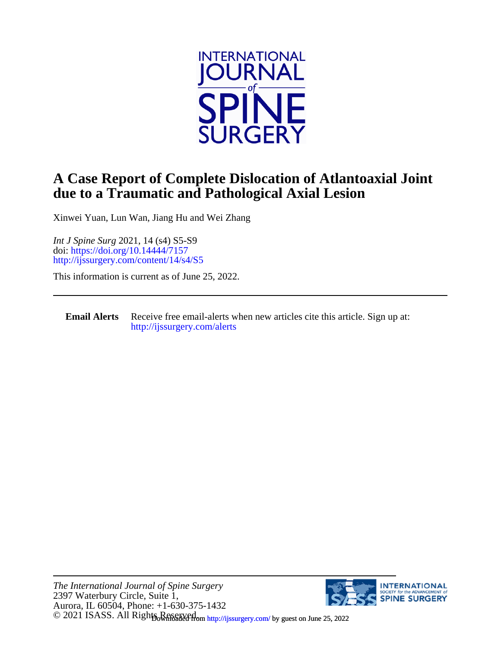

## **due to a Traumatic and Pathological Axial Lesion A Case Report of Complete Dislocation of Atlantoaxial Joint**

Xinwei Yuan, Lun Wan, Jiang Hu and Wei Zhang

<http://ijssurgery.com/content/14/s4/S5> doi:<https://doi.org/10.14444/7157> *Int J Spine Surg* 2021, 14 (s4) S5-S9

This information is current as of June 25, 2022.

**Email Alerts** [http://ijssurgery.com/alerts](http://jpm.iijournals.com/alerts) Receive free email-alerts when new articles cite this article. Sign up at:

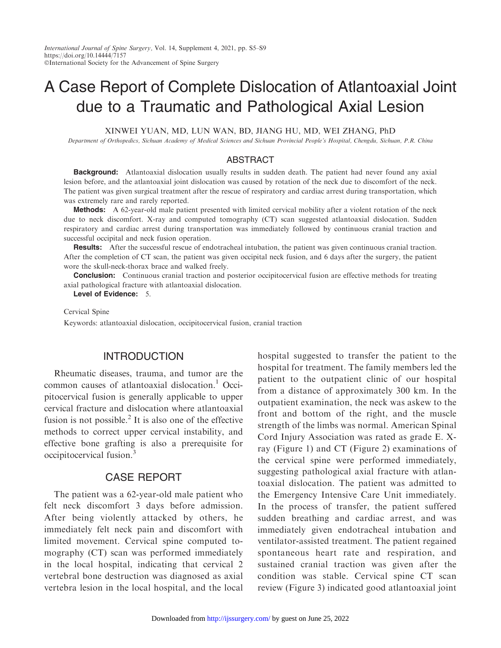# A Case Report of Complete Dislocation of Atlantoaxial Joint due to a Traumatic and Pathological Axial Lesion

XINWEI YUAN, MD, LUN WAN, BD, JIANG HU, MD, WEI ZHANG, PhD

Department of Orthopedics, Sichuan Academy of Medical Sciences and Sichuan Provincial People's Hospital, Chengdu, Sichuan, P.R. China

#### ABSTRACT

**Background:** Atlantoaxial dislocation usually results in sudden death. The patient had never found any axial lesion before, and the atlantoaxial joint dislocation was caused by rotation of the neck due to discomfort of the neck. The patient was given surgical treatment after the rescue of respiratory and cardiac arrest during transportation, which was extremely rare and rarely reported.

Methods: A 62-year-old male patient presented with limited cervical mobility after a violent rotation of the neck due to neck discomfort. X-ray and computed tomography (CT) scan suggested atlantoaxial dislocation. Sudden respiratory and cardiac arrest during transportation was immediately followed by continuous cranial traction and successful occipital and neck fusion operation.

Results: After the successful rescue of endotracheal intubation, the patient was given continuous cranial traction. After the completion of CT scan, the patient was given occipital neck fusion, and 6 days after the surgery, the patient wore the skull-neck-thorax brace and walked freely.

**Conclusion:** Continuous cranial traction and posterior occipitocervical fusion are effective methods for treating axial pathological fracture with atlantoaxial dislocation.

Level of Evidence: 5.

#### Cervical Spine

Keywords: atlantoaxial dislocation, occipitocervical fusion, cranial traction

#### **INTRODUCTION**

Rheumatic diseases, trauma, and tumor are the common causes of atlantoaxial dislocation.<sup>1</sup> Occipitocervical fusion is generally applicable to upper cervical fracture and dislocation where atlantoaxial fusion is not possible.<sup>2</sup> It is also one of the effective methods to correct upper cervical instability, and effective bone grafting is also a prerequisite for occipitocervical fusion.3

#### CASE REPORT

The patient was a 62-year-old male patient who felt neck discomfort 3 days before admission. After being violently attacked by others, he immediately felt neck pain and discomfort with limited movement. Cervical spine computed tomography (CT) scan was performed immediately in the local hospital, indicating that cervical 2 vertebral bone destruction was diagnosed as axial vertebra lesion in the local hospital, and the local hospital suggested to transfer the patient to the hospital for treatment. The family members led the patient to the outpatient clinic of our hospital from a distance of approximately 300 km. In the outpatient examination, the neck was askew to the front and bottom of the right, and the muscle strength of the limbs was normal. American Spinal Cord Injury Association was rated as grade E. Xray (Figure 1) and CT (Figure 2) examinations of the cervical spine were performed immediately, suggesting pathological axial fracture with atlantoaxial dislocation. The patient was admitted to the Emergency Intensive Care Unit immediately. In the process of transfer, the patient suffered sudden breathing and cardiac arrest, and was immediately given endotracheal intubation and ventilator-assisted treatment. The patient regained spontaneous heart rate and respiration, and sustained cranial traction was given after the condition was stable. Cervical spine CT scan review (Figure 3) indicated good atlantoaxial joint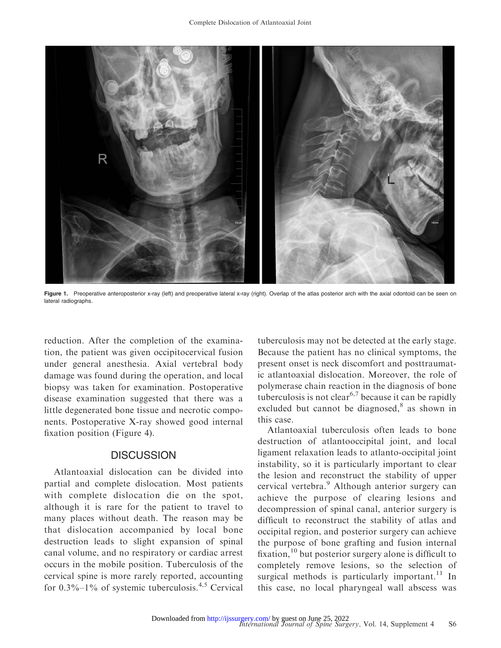

Figure 1. Preoperative anteroposterior x-ray (left) and preoperative lateral x-ray (right). Overlap of the atlas posterior arch with the axial odontoid can be seen on lateral radiographs.

reduction. After the completion of the examination, the patient was given occipitocervical fusion under general anesthesia. Axial vertebral body damage was found during the operation, and local biopsy was taken for examination. Postoperative disease examination suggested that there was a little degenerated bone tissue and necrotic components. Postoperative X-ray showed good internal fixation position (Figure 4).

## **DISCUSSION**

Atlantoaxial dislocation can be divided into partial and complete dislocation. Most patients with complete dislocation die on the spot, although it is rare for the patient to travel to many places without death. The reason may be that dislocation accompanied by local bone destruction leads to slight expansion of spinal canal volume, and no respiratory or cardiac arrest occurs in the mobile position. Tuberculosis of the cervical spine is more rarely reported, accounting for  $0.3\%$ – $1\%$  of systemic tuberculosis.<sup>4,5</sup> Cervical

tuberculosis may not be detected at the early stage. Because the patient has no clinical symptoms, the present onset is neck discomfort and posttraumatic atlantoaxial dislocation. Moreover, the role of polymerase chain reaction in the diagnosis of bone tuberculosis is not clear<sup>6,7</sup> because it can be rapidly excluded but cannot be diagnosed, $8$  as shown in this case.

Atlantoaxial tuberculosis often leads to bone destruction of atlantooccipital joint, and local ligament relaxation leads to atlanto-occipital joint instability, so it is particularly important to clear the lesion and reconstruct the stability of upper cervical vertebra.<sup>9</sup> Although anterior surgery can achieve the purpose of clearing lesions and decompression of spinal canal, anterior surgery is difficult to reconstruct the stability of atlas and occipital region, and posterior surgery can achieve the purpose of bone grafting and fusion internal fixation,  $^{10}$  but posterior surgery alone is difficult to completely remove lesions, so the selection of surgical methods is particularly important. $^{11}$  In this case, no local pharyngeal wall abscess was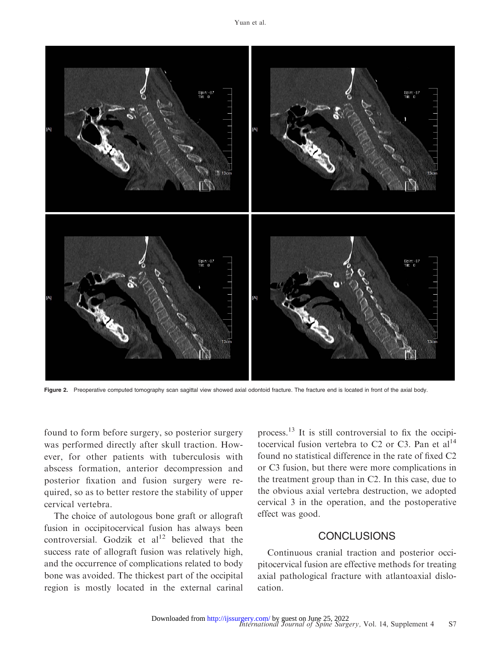

Figure 2. Preoperative computed tomography scan sagittal view showed axial odontoid fracture. The fracture end is located in front of the axial body.

found to form before surgery, so posterior surgery was performed directly after skull traction. However, for other patients with tuberculosis with abscess formation, anterior decompression and posterior fixation and fusion surgery were required, so as to better restore the stability of upper cervical vertebra.

The choice of autologous bone graft or allograft fusion in occipitocervical fusion has always been controversial. Godzik et  $al<sup>12</sup>$  believed that the success rate of allograft fusion was relatively high, and the occurrence of complications related to body bone was avoided. The thickest part of the occipital region is mostly located in the external carinal

process.13 It is still controversial to fix the occipitocervical fusion vertebra to  $C2$  or  $C3$ . Pan et al<sup>14</sup> found no statistical difference in the rate of fixed C2 or C3 fusion, but there were more complications in the treatment group than in C2. In this case, due to the obvious axial vertebra destruction, we adopted cervical 3 in the operation, and the postoperative effect was good.

## **CONCLUSIONS**

Continuous cranial traction and posterior occipitocervical fusion are effective methods for treating axial pathological fracture with atlantoaxial dislocation.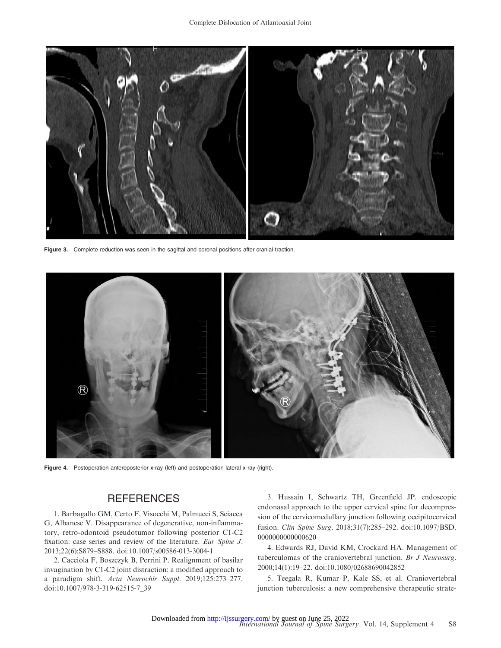

Figure 3. Complete reduction was seen in the sagittal and coronal positions after cranial traction.



Figure 4. Postoperation anteroposterior x-ray (left) and postoperation lateral x-ray (right).

### **REFERENCES**

1. Barbagallo GM, Certo F, Visocchi M, Palmucci S, Sciacca G, Albanese V. Disappearance of degenerative, non-inflammatory, retro-odontoid pseudotumor following posterior C1-C2 fixation: case series and review of the literature. Eur Spine J. 2013;22(6):S879–S888. doi:10.1007/s00586-013-3004-1

2. Cacciola F, Boszczyk B, Perrini P. Realignment of basilar invagination by C1-C2 joint distraction: a modified approach to a paradigm shift. Acta Neurochir Suppl. 2019;125:273–277. doi:10.1007/978-3-319-62515-7\_39

3. Hussain I, Schwartz TH, Greenfield JP. endoscopic endonasal approach to the upper cervical spine for decompression of the cervicomedullary junction following occipitocervical fusion. Clin Spine Surg. 2018;31(7):285–292. doi:10.1097/BSD. 0000000000000620

4. Edwards RJ, David KM, Crockard HA. Management of tuberculomas of the craniovertebral junction. Br J Neurosurg. 2000;14(1):19–22. doi:10.1080/02688690042852

5. Teegala R, Kumar P, Kale SS, et al. Craniovertebral junction tuberculosis: a new comprehensive therapeutic strate